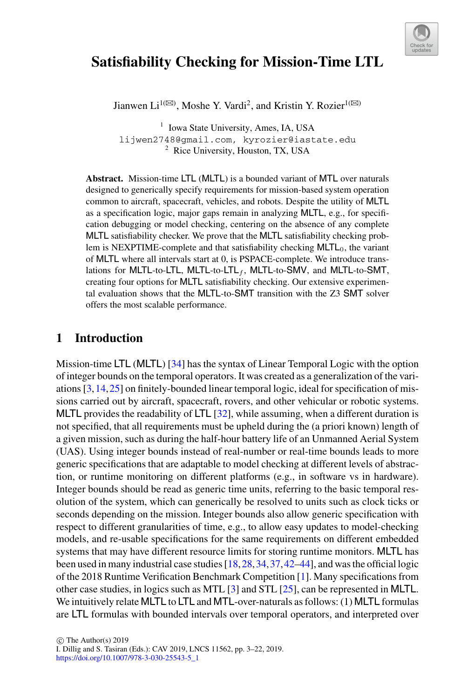

# **Satisfiability Checking for Mission-Time LTL**

Jianwen  $Li^{1(\boxtimes)}$ , Moshe Y. Vardi<sup>2</sup>, and Kristin Y. Rozier<sup>1( $\boxtimes$ )</sup>

<sup>1</sup> Iowa State University, Ames, IA, USA lijwen2748@gmail.com, kyrozier@iastate.edu <sup>2</sup> Rice University, Houston, TX, USA

**Abstract.** Mission-time LTL (MLTL) is a bounded variant of MTL over naturals designed to generically specify requirements for mission-based system operation common to aircraft, spacecraft, vehicles, and robots. Despite the utility of MLTL as a specification logic, major gaps remain in analyzing MLTL, e.g., for specification debugging or model checking, centering on the absence of any complete MLTL satisfiability checker. We prove that the MLTL satisfiability checking problem is NEXPTIME-complete and that satisfiability checking  $MLTL_0$ , the variant of MLTL where all intervals start at 0, is PSPACE-complete. We introduce translations for MLTL-to-LTL, MLTL-to-LTL<sub>f</sub>, MLTL-to-SMV, and MLTL-to-SMT, creating four options for MLTL satisfiability checking. Our extensive experimental evaluation shows that the MLTL-to-SMT transition with the Z3 SMT solver offers the most scalable performance.

# **1 Introduction**

Mission-time LTL (MLTL) [\[34](#page-18-0)] has the syntax of Linear Temporal Logic with the option of integer bounds on the temporal operators. It was created as a generalization of the variations [\[3](#page-17-0),[14](#page-17-1)[,25](#page-18-1)] on finitely-bounded linear temporal logic, ideal for specification of missions carried out by aircraft, spacecraft, rovers, and other vehicular or robotic systems. MLTL provides the readability of LTL  $[32]$ , while assuming, when a different duration is not specified, that all requirements must be upheld during the (a priori known) length of a given mission, such as during the half-hour battery life of an Unmanned Aerial System (UAS). Using integer bounds instead of real-number or real-time bounds leads to more generic specifications that are adaptable to model checking at different levels of abstraction, or runtime monitoring on different platforms (e.g., in software vs in hardware). Integer bounds should be read as generic time units, referring to the basic temporal resolution of the system, which can generically be resolved to units such as clock ticks or seconds depending on the mission. Integer bounds also allow generic specification with respect to different granularities of time, e.g., to allow easy updates to model-checking models, and re-usable specifications for the same requirements on different embedded systems that may have different resource limits for storing runtime monitors. MLTL has been used in many industrial case studies [\[18](#page-17-2),[28,](#page-18-3)[34](#page-18-0),[37](#page-18-4),[42](#page-19-0)[–44\]](#page-19-1), and was the official logic of the 2018 Runtime Verification Benchmark Competition [\[1](#page-17-3)]. Many specifications from other case studies, in logics such as MTL [\[3\]](#page-17-0) and STL [\[25\]](#page-18-1), can be represented in MLTL. We intuitively relate MLTL to LTL and MTL-over-naturals as follows: (1) MLTL formulas are LTL formulas with bounded intervals over temporal operators, and interpreted over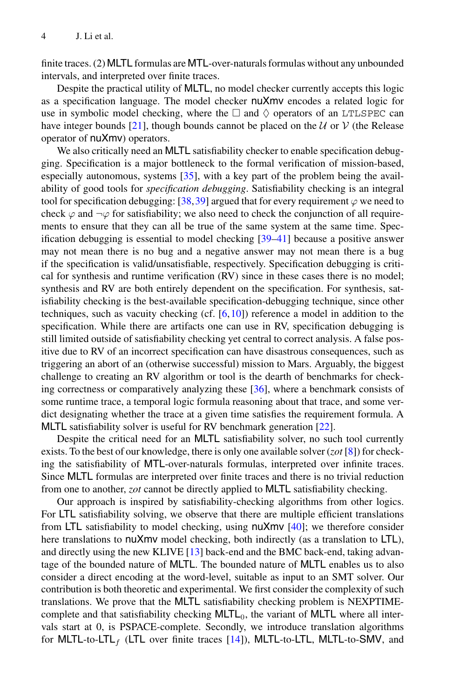finite traces. (2) MLTL formulas are MTL-over-naturals formulas without any unbounded intervals, and interpreted over finite traces.

Despite the practical utility of MLTL, no model checker currently accepts this logic as a specification language. The model checker nuXmv encodes a related logic for use in symbolic model checking, where the  $\Box$  and  $\Diamond$  operators of an LTLSPEC can have integer bounds [\[21\]](#page-18-5), though bounds cannot be placed on the  $U$  or  $V$  (the Release operator of nuXmv) operators.

We also critically need an MLTL satisfiability checker to enable specification debugging. Specification is a major bottleneck to the formal verification of mission-based, especially autonomous, systems [\[35\]](#page-18-6), with a key part of the problem being the availability of good tools for *specification debugging*. Satisfiability checking is an integral tool for specification debugging: [\[38,](#page-19-2)[39](#page-19-3)] argued that for every requirement  $\varphi$  we need to check  $\varphi$  and  $\neg \varphi$  for satisfiability; we also need to check the conjunction of all requirements to ensure that they can all be true of the same system at the same time. Specification debugging is essential to model checking [\[39](#page-19-3)[–41\]](#page-19-4) because a positive answer may not mean there is no bug and a negative answer may not mean there is a bug if the specification is valid/unsatisfiable, respectively. Specification debugging is critical for synthesis and runtime verification (RV) since in these cases there is no model; synthesis and RV are both entirely dependent on the specification. For synthesis, satisfiability checking is the best-available specification-debugging technique, since other techniques, such as vacuity checking (cf.  $[6, 10]$  $[6, 10]$  $[6, 10]$  $[6, 10]$ ) reference a model in addition to the specification. While there are artifacts one can use in RV, specification debugging is still limited outside of satisfiability checking yet central to correct analysis. A false positive due to RV of an incorrect specification can have disastrous consequences, such as triggering an abort of an (otherwise successful) mission to Mars. Arguably, the biggest challenge to creating an RV algorithm or tool is the dearth of benchmarks for checking correctness or comparatively analyzing these [\[36\]](#page-18-7), where a benchmark consists of some runtime trace, a temporal logic formula reasoning about that trace, and some verdict designating whether the trace at a given time satisfies the requirement formula. A MLTL satisfiability solver is useful for RV benchmark generation [\[22](#page-18-8)].

Despite the critical need for an MLTL satisfiability solver, no such tool currently exists. To the best of our knowledge, there is only one available solver (*zot* [\[8\]](#page-17-6)) for checking the satisfiability of MTL-over-naturals formulas, interpreted over infinite traces. Since MLTL formulas are interpreted over finite traces and there is no trivial reduction from one to another, *zot* cannot be directly applied to MLTL satisfiability checking.

Our approach is inspired by satisfiability-checking algorithms from other logics. For LTL satisfiability solving, we observe that there are multiple efficient translations from LTL satisfiability to model checking, using nuXmv [\[40\]](#page-19-5); we therefore consider here translations to nuXmv model checking, both indirectly (as a translation to LTL), and directly using the new KLIVE [\[13\]](#page-17-7) back-end and the BMC back-end, taking advantage of the bounded nature of MLTL. The bounded nature of MLTL enables us to also consider a direct encoding at the word-level, suitable as input to an SMT solver. Our contribution is both theoretic and experimental. We first consider the complexity of such translations. We prove that the MLTL satisfiability checking problem is NEXPTIMEcomplete and that satisfiability checking  $MLTL<sub>0</sub>$ , the variant of MLTL where all intervals start at 0, is PSPACE-complete. Secondly, we introduce translation algorithms for MLTL-to-LTL<sub>f</sub> (LTL over finite traces [\[14](#page-17-1)]), MLTL-to-LTL, MLTL-to-SMV, and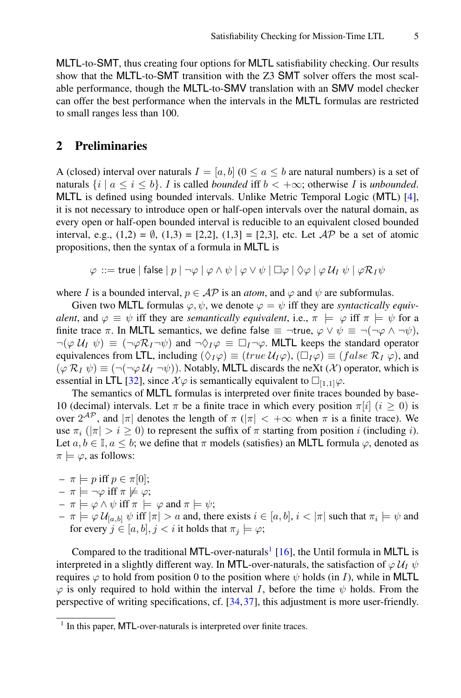MLTL-to-SMT, thus creating four options for MLTL satisfiability checking. Our results show that the MLTL-to-SMT transition with the Z3 SMT solver offers the most scalable performance, though the MLTL-to-SMV translation with an SMV model checker can offer the best performance when the intervals in the MLTL formulas are restricted to small ranges less than 100.

#### <span id="page-2-1"></span>**2 Preliminaries**

A (closed) interval over naturals  $I = [a, b]$  ( $0 \le a \le b$  are natural numbers) is a set of naturals  $\{i \mid a \leq i \leq b\}$ . *I* is called *bounded* iff  $b < +\infty$ ; otherwise *I* is *unbounded*. MLTL is defined using bounded intervals. Unlike Metric Temporal Logic (MTL) [\[4\]](#page-17-8), it is not necessary to introduce open or half-open intervals over the natural domain, as every open or half-open bounded interval is reducible to an equivalent closed bounded interval, e.g.,  $(1,2) = \emptyset$ ,  $(1,3) = [2,2]$ ,  $(1,3] = [2,3]$ , etc. Let  $AP$  be a set of atomic propositions, then the syntax of a formula in MLTL is

$$
\varphi ::= \mathsf{true} \mid \mathsf{false} \mid p \mid \neg \varphi \mid \varphi \land \psi \mid \varphi \lor \psi \mid \Box \varphi \mid \Diamond \varphi \mid \varphi \mathcal{U}_I \ \psi \mid \varphi \mathcal{R}_I \psi
$$

where I is a bounded interval,  $p \in \mathcal{AP}$  is an *atom*, and  $\varphi$  and  $\psi$  are subformulas.

Given two **MLTL** formulas  $\varphi, \psi$ , we denote  $\varphi = \psi$  iff they are *syntactically equivalent*, and  $\varphi \equiv \psi$  iff they are *semantically equivalent*, i.e.,  $\pi \models \varphi$  iff  $\pi \models \psi$  for a finite trace  $\pi$ . In MLTL semantics, we define false  $\equiv \neg \text{true}, \varphi \lor \psi \equiv \neg(\neg \varphi \land \neg \psi)$ ,  $\neg(\varphi \mathcal{U}_I \psi) \equiv (\neg \varphi \mathcal{R}_I \neg \psi)$  and  $\neg \Diamond_I \varphi \equiv \Box_I \neg \varphi$ . MLTL keeps the standard operator equivalences from LTL, including  $(\Diamond_I \varphi) \equiv (true \, \mathcal{U}_I \varphi)$ ,  $(\Box_I \varphi) \equiv (false \, \mathcal{R}_I \varphi)$ , and  $(\varphi \mathcal{R}_I \psi) \equiv (\neg(\neg \varphi \mathcal{U}_I \neg \psi))$ . Notably, MLTL discards the neXt  $(\mathcal{X})$  operator, which is essential in LTL [\[32](#page-18-2)], since  $\mathcal{X}\varphi$  is semantically equivalent to  $\square_{[1,1]}\varphi$ .

The semantics of MLTL formulas is interpreted over finite traces bounded by base-10 (decimal) intervals. Let  $\pi$  be a finite trace in which every position  $\pi[i]$   $(i \geq 0)$  is over  $2^{AP}$ , and  $|\pi|$  denotes the length of  $\pi$  ( $|\pi| < +\infty$  when  $\pi$  is a finite trace). We use  $\pi_i$  ( $|\pi| > i \geq 0$ ) to represent the suffix of  $\pi$  starting from position i (including i). Let  $a, b \in \mathbb{I}, a \leq b$ ; we define that  $\pi$  models (satisfies) an MLTL formula  $\varphi$ , denoted as  $\pi \models \varphi$ , as follows:

- $\pi \models p \text{ iff } p \in \pi[0];$
- $\pi \models \neg \varphi \text{ iff } \pi \not\models \varphi;$
- $-\pi \models \varphi \land \psi$  iff  $\pi \models \varphi$  and  $\pi \models \psi$ ;
- $-\pi \models \varphi \mathcal{U}_{[a,b]} \psi$  iff  $|\pi| > a$  and, there exists  $i \in [a,b], i < |\pi|$  such that  $\pi_i \models \psi$  and for every  $j \in [a, b], j < i$  it holds that  $\pi_j \models \varphi$ ;

Compared to the traditional MTL-over-naturals<sup>[1](#page-2-0)</sup> [\[16\]](#page-17-9), the Until formula in MLTL is interpreted in a slightly different way. In MTL-over-naturals, the satisfaction of  $\varphi \mathcal{U}_I \psi$ requires  $\varphi$  to hold from position 0 to the position where  $\psi$  holds (in I), while in MLTL  $\varphi$  is only required to hold within the interval I, before the time  $\psi$  holds. From the perspective of writing specifications, cf. [\[34](#page-18-0)[,37](#page-18-4)], this adjustment is more user-friendly.

<span id="page-2-0"></span> $<sup>1</sup>$  In this paper, MTL-over-naturals is interpreted over finite traces.</sup>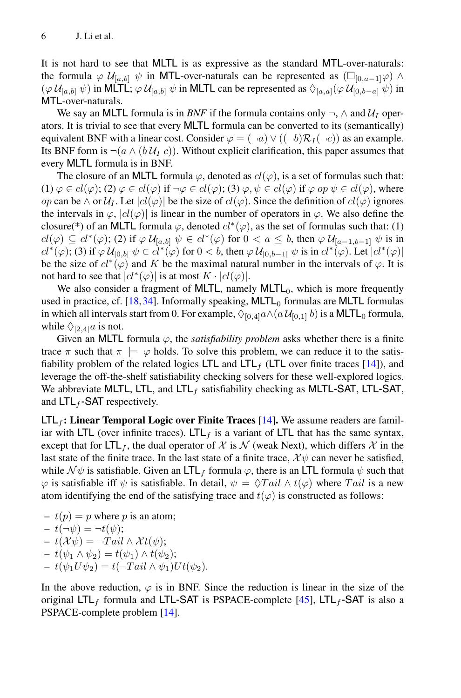It is not hard to see that MLTL is as expressive as the standard MTL-over-naturals: the formula  $\varphi$  U<sub>[a,b]</sub>  $\psi$  in MTL-over-naturals can be represented as  $(\Box_{[0,a-1]}\varphi) \wedge$  $(\varphi \mathcal{U}_{[a,b]} \psi)$  in MLTL;  $\varphi \mathcal{U}_{[a,b]} \psi$  in MLTL can be represented as  $\Diamond_{[a,a]} (\varphi \mathcal{U}_{[0,b-a]} \psi)$  in MTL-over-naturals.

We say an MLTL formula is in *BNF* if the formula contains only  $\neg$ ,  $\wedge$  and  $\mathcal{U}_I$  operators. It is trivial to see that every MLTL formula can be converted to its (semantically) equivalent BNF with a linear cost. Consider  $\varphi = (\neg a) \vee ((\neg b) \mathcal{R}_I(\neg c))$  as an example. Its BNF form is  $\neg(a \wedge (b \mathcal{U}_I c))$ . Without explicit clarification, this paper assumes that every MLTL formula is in BNF.

The closure of an MLTL formula  $\varphi$ , denoted as  $cl(\varphi)$ , is a set of formulas such that:  $(1) \varphi \in cl(\varphi)$ ;  $(2) \varphi \in cl(\varphi)$  if  $\neg \varphi \in cl(\varphi)$ ;  $(3) \varphi, \psi \in cl(\varphi)$  if  $\varphi$  op  $\psi \in cl(\varphi)$ , where op can be  $\wedge$  or  $U_I$ . Let  $|cl(\varphi)|$  be the size of  $cl(\varphi)$ . Since the definition of  $cl(\varphi)$  ignores the intervals in  $\varphi$ ,  $|cl(\varphi)|$  is linear in the number of operators in  $\varphi$ . We also define the closure(\*) of an MLTL formula  $\varphi$ , denoted  $cl^*(\varphi)$ , as the set of formulas such that: (1)  $cl(\varphi) \subseteq cl^*(\varphi)$ ; (2) if  $\varphi \mathcal{U}_{[a,b]} \psi \in cl^*(\varphi)$  for  $0 < a \leq b$ , then  $\varphi \mathcal{U}_{[a-1,b-1]} \psi$  is in  $cl^*(\varphi)$ ; (3) if  $\varphi \mathcal{U}_{[0,b]} \psi \in cl^*(\varphi)$  for  $0 < b$ , then  $\varphi \mathcal{U}_{[0,b-1]} \psi$  is in  $cl^*(\varphi)$ . Let  $|cl^*(\varphi)|$ be the size of  $cl^*(\varphi)$  and K be the maximal natural number in the intervals of  $\varphi$ . It is not hard to see that  $|cl^*(\varphi)|$  is at most  $K \cdot |cl(\varphi)|$ .

We also consider a fragment of MLTL, namely  $MLTL_0$ , which is more frequently used in practice, cf.  $[18,34]$  $[18,34]$ . Informally speaking, MLTL<sub>0</sub> formulas are MLTL formulas in which all intervals start from 0. For example,  $\Diamond$ <sub>[0,4]</sub> $a \land (a U_{[0,1]} b)$  is a MLTL<sub>0</sub> formula, while  $\Diamond_{[2,4]}a$  is not.

Given an MLTL formula  $\varphi$ , the *satisfiability problem* asks whether there is a finite trace  $\pi$  such that  $\pi \models \varphi$  holds. To solve this problem, we can reduce it to the satis-fiability problem of the related logics LTL and LTL<sub>f</sub> (LTL over finite traces [\[14\]](#page-17-1)), and leverage the off-the-shelf satisfiability checking solvers for these well-explored logics. We abbreviate MLTL, LTL, and LTL  $_f$  satisfiability checking as MLTL-SAT, LTL-SAT, and  $LTL_f$ -SAT respectively.

LTL<sub>f</sub>: Linear Temporal Logic over Finite Traces [\[14\]](#page-17-1). We assume readers are familiar with LTL (over infinite traces). LTL<sub>f</sub> is a variant of LTL that has the same syntax, except that for  $LTL_f$ , the dual operator of X is N (weak Next), which differs X in the last state of the finite trace. In the last state of a finite trace,  $\mathcal{X}\psi$  can never be satisfied, while  $\mathcal{N}\psi$  is satisfiable. Given an LTL<sub>f</sub> formula  $\varphi$ , there is an LTL formula  $\psi$  such that  $\varphi$  is satisfiable iff  $\psi$  is satisfiable. In detail,  $\psi = \sqrt{\frac{\gamma}{d}} \lambda t(\varphi)$  where Tail is a new atom identifying the end of the satisfying trace and  $t(\varphi)$  is constructed as follows:

–  $t(p) = p$  where p is an atom;  $-t(\neg \psi) = \neg t(\psi);$  $-t(\mathcal{X}\psi) = \neg Tail \wedge \mathcal{X}t(\psi);$  $-t(\psi_1 \wedge \psi_2) = t(\psi_1) \wedge t(\psi_2);$  $-t(\psi_1 U \psi_2) = t(\neg Tail \wedge \psi_1) Ut(\psi_2).$ 

In the above reduction,  $\varphi$  is in BNF. Since the reduction is linear in the size of the original LTL<sub>f</sub> formula and LTL-SAT is PSPACE-complete [\[45](#page-19-6)], LTL<sub>f</sub>-SAT is also a PSPACE-complete problem [\[14\]](#page-17-1).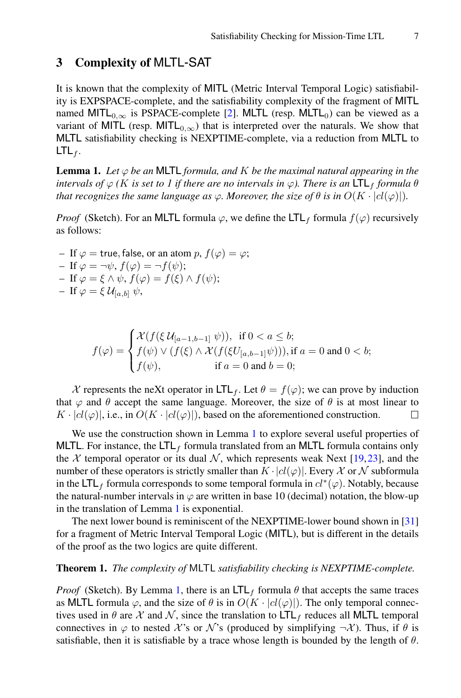### **3 Complexity of** MLTL-SAT

It is known that the complexity of MITL (Metric Interval Temporal Logic) satisfiability is EXPSPACE-complete, and the satisfiability complexity of the fragment of MITL named MITL<sub>0, $\infty$ </sub> is PSPACE-complete [\[2\]](#page-17-10). MLTL (resp. MLTL<sub>0</sub>) can be viewed as a variant of MITL (resp. MITL<sub>0, $\infty$ </sub>) that is interpreted over the naturals. We show that MLTL satisfiability checking is NEXPTIME-complete, via a reduction from MLTL to  $LTL_f$ .

<span id="page-4-0"></span>**Lemma 1.** Let  $\varphi$  be an MLTL formula, and K be the maximal natural appearing in the *intervals of*  $\varphi$  *(K is set to 1 if there are no intervals in*  $\varphi$ *). There is an* LTL<sub>f</sub> *formula*  $\theta$ *that recognizes the same language as*  $\varphi$ *. Moreover, the size of*  $\theta$  *is in*  $O(K \cdot |cl(\varphi)|)$ *.* 

*Proof* (Sketch). For an MLTL formula  $\varphi$ , we define the LTL<sub>f</sub> formula  $f(\varphi)$  recursively as follows:

- If  $\varphi$  = true, false, or an atom p,  $f(\varphi) = \varphi$ ;
- $-If \varphi = \neg \psi$ ,  $f(\varphi) = \neg f(\psi)$ ;
- If  $\varphi = \xi \wedge \psi$ ,  $f(\varphi) = f(\xi) \wedge f(\psi)$ ;
- If  $\varphi = \xi \mathcal{U}_{[a,b]} \psi$ ,

$$
f(\varphi) = \begin{cases} \mathcal{X}(f(\xi \mathcal{U}_{[a-1,b-1]} \psi)), & \text{if } 0 < a \leq b; \\ f(\psi) \vee (f(\xi) \wedge \mathcal{X}(f(\xi U_{[a,b-1]}\psi))), & \text{if } a = 0 \text{ and } 0 < b; \\ f(\psi), & \text{if } a = 0 \text{ and } b = 0; \end{cases}
$$

X represents the neXt operator in  $LTL_f$ . Let  $\theta = f(\varphi)$ ; we can prove by induction that  $\varphi$  and  $\theta$  accept the same language. Moreover, the size of  $\theta$  is at most linear to  $K \cdot |cl(\varphi)|$ , i.e., in  $O(K \cdot |cl(\varphi)|)$ , based on the aforementioned construction.  $\Box$ 

We use the construction shown in Lemma [1](#page-4-0) to explore several useful properties of MLTL. For instance, the  $LTL_f$  formula translated from an MLTL formula contains only the X temporal operator or its dual N, which represents weak Next [\[19](#page-18-9),[23\]](#page-18-10), and the number of these operators is strictly smaller than  $K \cdot |cl(\varphi)|$ . Every X or N subformula in the LTL<sub>f</sub> formula corresponds to some temporal formula in  $cl^*(\varphi)$ . Notably, because the natural-number intervals in  $\varphi$  are written in base 10 (decimal) notation, the blow-up in the translation of Lemma [1](#page-4-0) is exponential.

The next lower bound is reminiscent of the NEXPTIME-lower bound shown in [\[31](#page-18-11)] for a fragment of Metric Interval Temporal Logic (MITL), but is different in the details of the proof as the two logics are quite different.

#### <span id="page-4-1"></span>**Theorem 1.** *The complexity of* MLTL *satisfiability checking is NEXPTIME-complete.*

*Proof* (Sketch). By Lemma [1,](#page-4-0) there is an  $LTL_f$  formula  $\theta$  that accepts the same traces as MLTL formula  $\varphi$ , and the size of  $\theta$  is in  $O(K \cdot |cl(\varphi)|)$ . The only temporal connectives used in  $\theta$  are X and N, since the translation to LTL<sub>f</sub> reduces all MLTL temporal connectives in  $\varphi$  to nested X's or N's (produced by simplifying  $\neg \mathcal{X}$ ). Thus, if  $\theta$  is satisfiable, then it is satisfiable by a trace whose length is bounded by the length of  $\theta$ .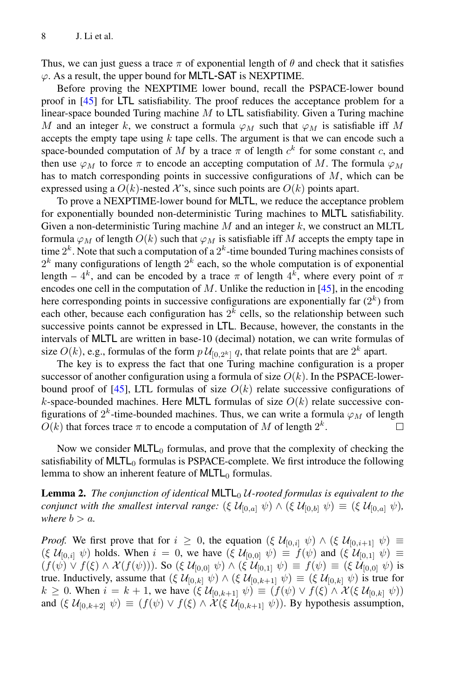Thus, we can just guess a trace  $\pi$  of exponential length of  $\theta$  and check that it satisfies  $\varphi$ . As a result, the upper bound for **MLTL-SAT** is NEXPTIME.

Before proving the NEXPTIME lower bound, recall the PSPACE-lower bound proof in [\[45\]](#page-19-6) for LTL satisfiability. The proof reduces the acceptance problem for a linear-space bounded Turing machine  $M$  to LTL satisfiability. Given a Turing machine M and an integer k, we construct a formula  $\varphi_M$  such that  $\varphi_M$  is satisfiable iff M accepts the empty tape using  $k$  tape cells. The argument is that we can encode such a space-bounded computation of M by a trace  $\pi$  of length  $c^k$  for some constant c, and then use  $\varphi_M$  to force  $\pi$  to encode an accepting computation of M. The formula  $\varphi_M$ has to match corresponding points in successive configurations of  $M$ , which can be expressed using a  $O(k)$ -nested X's, since such points are  $O(k)$  points apart.

To prove a NEXPTIME-lower bound for MLTL, we reduce the acceptance problem for exponentially bounded non-deterministic Turing machines to MLTL satisfiability. Given a non-deterministic Turing machine  $M$  and an integer  $k$ , we construct an MLTL formula  $\varphi_M$  of length  $O(k)$  such that  $\varphi_M$  is satisfiable iff M accepts the empty tape in time  $2^k$ . Note that such a computation of a  $2^k$ -time bounded Turing machines consists of  $2^k$  many configurations of length  $2^k$  each, so the whole computation is of exponential length –  $4^k$ , and can be encoded by a trace  $\pi$  of length  $4^k$ , where every point of  $\pi$ encodes one cell in the computation of  $M$ . Unlike the reduction in [\[45](#page-19-6)], in the encoding here corresponding points in successive configurations are exponentially far  $(2<sup>k</sup>)$  from each other, because each configuration has  $2^k$  cells, so the relationship between such successive points cannot be expressed in LTL. Because, however, the constants in the intervals of MLTL are written in base-10 (decimal) notation, we can write formulas of size  $O(k)$ , e.g., formulas of the form  $p \mathcal{U}_{[0,2^k]}$  q, that relate points that are  $2^k$  apart.

The key is to express the fact that one Turing machine configuration is a proper successor of another configuration using a formula of size  $O(k)$ . In the PSPACE-lower-bound proof of [\[45\]](#page-19-6), LTL formulas of size  $O(k)$  relate successive configurations of k-space-bounded machines. Here MLTL formulas of size  $O(k)$  relate successive configurations of  $2^k$ -time-bounded machines. Thus, we can write a formula  $\varphi_M$  of length  $O(k)$  that forces trace  $\pi$  to encode a computation of M of length  $2^k$ . П

<span id="page-5-0"></span>Now we consider  $MLTL_0$  formulas, and prove that the complexity of checking the satisfiability of  $MLTL_0$  formulas is PSPACE-complete. We first introduce the following lemma to show an inherent feature of  $MLTL_0$  formulas.

**Lemma 2.** *The conjunction of identical*  $MLTL_0 U$ -rooted formulas is equivalent to the *conjunct with the smallest interval range:*  $(\xi \mathcal{U}_{[0,a]} \psi) \wedge (\xi \mathcal{U}_{[0,b]} \psi) \equiv (\xi \mathcal{U}_{[0,a]} \psi)$ , *where*  $b > a$ *.* 

*Proof.* We first prove that for  $i \geq 0$ , the equation  $(\xi \mathcal{U}_{[0,i]} \psi) \wedge (\xi \mathcal{U}_{[0,i+1]} \psi) \equiv$  $(\xi \mathcal{U}_{[0,i]} \psi)$  holds. When  $i = 0$ , we have  $(\xi \mathcal{U}_{[0,0]} \psi) \equiv f(\psi)$  and  $(\xi \mathcal{U}_{[0,1]} \psi) \equiv$  $(f(\psi) \vee f(\xi) \wedge \mathcal{X}(f(\psi)))$ . So  $(\xi \mathcal{U}_{[0,0]} \psi) \wedge (\xi \mathcal{U}_{[0,1]} \psi) \equiv f(\psi) \equiv (\xi \mathcal{U}_{[0,0]} \psi)$  is true. Inductively, assume that  $(\xi \mathcal{U}_{[0,k]}\psi) \wedge (\xi \mathcal{U}_{[0,k+1]}\psi) \equiv (\xi \mathcal{U}_{[0,k]}\psi)$  is true for  $k \geq 0$ . When  $i = k + 1$ , we have  $(\xi \mathcal{U}_{[0,k+1]} \psi) \equiv (f(\psi) \vee f(\xi) \wedge \mathcal{X}(\xi \mathcal{U}_{[0,k]} \psi))$ and  $(\xi \mathcal{U}_{[0,k+2]} \psi) \equiv (f(\psi) \vee f(\xi) \wedge \mathcal{X}(\xi \mathcal{U}_{[0,k+1]} \psi))$ . By hypothesis assumption,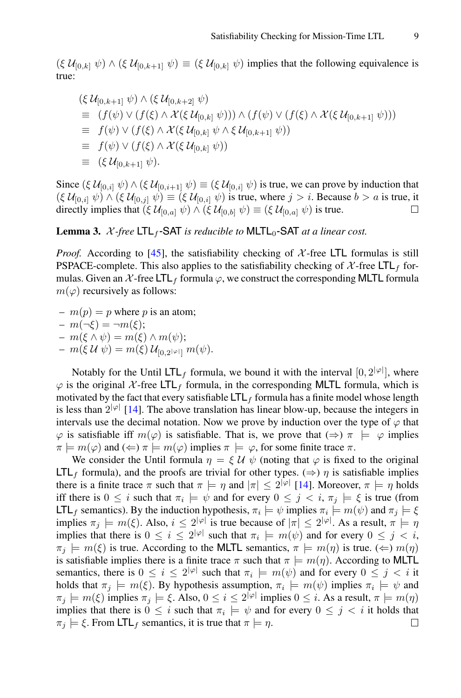$(\xi \mathcal{U}_{[0,k]} \psi) \wedge (\xi \mathcal{U}_{[0,k+1]} \psi) \equiv (\xi \mathcal{U}_{[0,k]} \psi)$  implies that the following equivalence is true:

$$
(\xi \mathcal{U}_{[0,k+1]} \psi) \wedge (\xi \mathcal{U}_{[0,k+2]} \psi)
$$
  
\n
$$
\equiv (f(\psi) \vee (f(\xi) \wedge \mathcal{X}(\xi \mathcal{U}_{[0,k]} \psi))) \wedge (f(\psi) \vee (f(\xi) \wedge \mathcal{X}(\xi \mathcal{U}_{[0,k+1]} \psi)))
$$
  
\n
$$
\equiv f(\psi) \vee (f(\xi) \wedge \mathcal{X}(\xi \mathcal{U}_{[0,k]} \psi \wedge \xi \mathcal{U}_{[0,k+1]} \psi))
$$
  
\n
$$
\equiv f(\psi) \vee (f(\xi) \wedge \mathcal{X}(\xi \mathcal{U}_{[0,k]} \psi))
$$
  
\n
$$
\equiv (\xi \mathcal{U}_{[0,k+1]} \psi).
$$

Since  $(\xi \mathcal{U}_{[0,i]} \psi) \wedge (\xi \mathcal{U}_{[0,i+1]} \psi) \equiv (\xi \mathcal{U}_{[0,i]} \psi)$  is true, we can prove by induction that  $(\xi \mathcal{U}_{[0,i]} \psi) \wedge (\xi \mathcal{U}_{[0,j]} \psi) \equiv (\xi \mathcal{U}_{[0,i]} \psi)$  is true, where  $j > i$ . Because  $b > a$  is true, it directly implies that  $(\xi \mathcal{U}_{[0,a]} \psi) \wedge (\xi \mathcal{U}_{[0,b]} \psi) \equiv (\xi \mathcal{U}_{[0,a]} \psi)$  is true. directly implies that  $(\xi \mathcal{U}_{[0,a]}, \psi) \wedge (\xi \mathcal{U}_{[0,b]}, \psi) \equiv (\xi \mathcal{U}_{[0,a]}, \psi)$  is true.

<span id="page-6-0"></span>**Lemma 3.**  $\mathcal{X}$ -free LTL<sub>f</sub>-SAT *is reducible to* MLTL<sub>0</sub>-SAT *at a linear cost.* 

*Proof.* According to [\[45\]](#page-19-6), the satisfiability checking of  $\chi$ -free LTL formulas is still PSPACE-complete. This also applies to the satisfiability checking of  $\mathcal{X}$ -free LTL<sub>f</sub> formulas. Given an  $\mathcal{X}$ -free LTL<sub>f</sub> formula  $\varphi$ , we construct the corresponding MLTL formula  $m(\varphi)$  recursively as follows:

–  $m(p) = p$  where p is an atom;

$$
-m(\neg\xi) = \neg m(\xi);
$$

$$
- m(\xi \wedge \psi) = m(\xi) \wedge m(\psi);
$$

 $- m(\xi \mathcal{U} \psi) = m(\xi) \mathcal{U}_{[0,2^{|\varphi|}]} m(\psi).$ 

Notably for the Until  $LTL_f$  formula, we bound it with the interval  $[0, 2^{|\varphi|}]$ , where  $\varphi$  is the original X-free LTL<sub>f</sub> formula, in the corresponding MLTL formula, which is motivated by the fact that every satisfiable  $LTL_f$  formula has a finite model whose length is less than  $2^{|\varphi|}$  [\[14\]](#page-17-1). The above translation has linear blow-up, because the integers in intervals use the decimal notation. Now we prove by induction over the type of  $\varphi$  that  $\varphi$  is satisfiable iff  $m(\varphi)$  is satisfiable. That is, we prove that  $(\Rightarrow) \pi \models \varphi$  implies  $\pi \models m(\varphi)$  and  $(\Leftarrow)$   $\pi \models m(\varphi)$  implies  $\pi \models \varphi$ , for some finite trace  $\pi$ .

We consider the Until formula  $\eta = \xi \mathcal{U} \psi$  (noting that  $\varphi$  is fixed to the original LTL<sub>f</sub> formula), and the proofs are trivial for other types. ( $\Rightarrow$ )  $\eta$  is satisfiable implies there is a finite trace  $\pi$  such that  $\pi \models \eta$  and  $|\pi| < 2^{|\varphi|}$  [\[14](#page-17-1)]. Moreover,  $\pi \models \eta$  holds iff there is  $0 \leq i$  such that  $\pi_i \models \psi$  and for every  $0 \leq j \leq i$ ,  $\pi_j \models \xi$  is true (from LTL<sub>f</sub> semantics). By the induction hypothesis,  $\pi_i \models \psi$  implies  $\pi_i \models m(\psi)$  and  $\pi_j \models \xi$ implies  $\pi_j \models m(\xi)$ . Also,  $i \leq 2^{|\varphi|}$  is true because of  $|\pi| \leq 2^{|\varphi|}$ . As a result,  $\pi \models \eta$ implies that there is  $0 \le i \le 2^{|\varphi|}$  such that  $\pi_i \models m(\psi)$  and for every  $0 \le j \le i$ ,  $\pi_j \models m(\xi)$  is true. According to the MLTL semantics,  $\pi \models m(\eta)$  is true.  $(\Leftarrow) m(\eta)$ is satisfiable implies there is a finite trace  $\pi$  such that  $\pi \models m(\eta)$ . According to MLTL semantics, there is  $0 \le i \le 2^{|\varphi|}$  such that  $\pi_i \models m(\psi)$  and for every  $0 \le j < i$  it holds that  $\pi_i \models m(\xi)$ . By hypothesis assumption,  $\pi_i \models m(\psi)$  implies  $\pi_i \models \psi$  and  $\pi_j \models m(\xi)$  implies  $\pi_j \models \xi$ . Also,  $0 \leq i \leq 2^{|\varphi|}$  implies  $0 \leq i$ . As a result,  $\pi \models m(\eta)$ implies that there is  $0 \le i$  such that  $\pi_i \models \psi$  and for every  $0 \le j \le i$  it holds that  $\pi_i \models \xi$ . From LTL<sub>f</sub> semantics, it is true that  $\pi \models n$ .  $\pi_i \models \xi$ . From LTL<sub>f</sub> semantics, it is true that  $\pi \models \eta$ .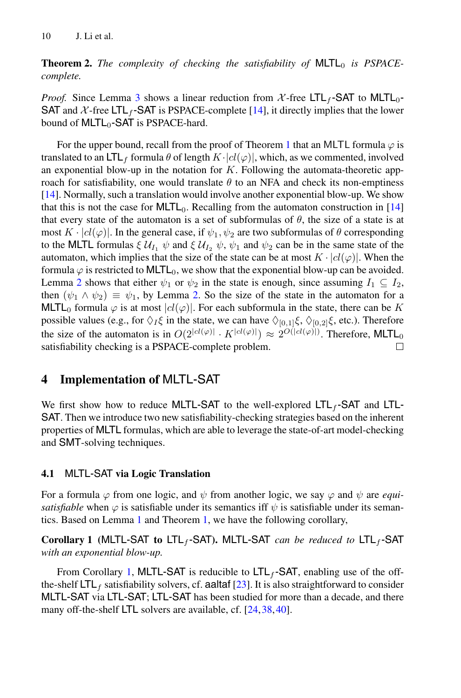**Theorem 2.** *The complexity of checking the satisfiability of* MLTL<sub>0</sub> *is PSPACEcomplete.*

*Proof.* Since Lemma [3](#page-6-0) shows a linear reduction from  $X$ -free LTL<sub>f</sub>-SAT to MLTL<sub>0</sub>-SAT and  $\mathcal{X}$ -free LTL<sub>f</sub>-SAT is PSPACE-complete [\[14\]](#page-17-1), it directly implies that the lower bound of  $MLTL_0$ -SAT is PSPACE-hard.

For the upper bound, recall from the proof of Theorem [1](#page-4-1) that an MLTL formula  $\varphi$  is translated to an LTL<sub>f</sub> formula  $\theta$  of length  $K \cdot |cl(\varphi)|$ , which, as we commented, involved an exponential blow-up in the notation for  $K$ . Following the automata-theoretic approach for satisfiability, one would translate  $\theta$  to an NFA and check its non-emptiness [\[14\]](#page-17-1). Normally, such a translation would involve another exponential blow-up. We show that this is not the case for  $MLTL_0$ . Recalling from the automaton construction in [\[14\]](#page-17-1) that every state of the automaton is a set of subformulas of  $\theta$ , the size of a state is at most  $K \cdot |cl(\varphi)|$ . In the general case, if  $\psi_1, \psi_2$  are two subformulas of  $\theta$  corresponding to the MLTL formulas  $\xi \mathcal{U}_{I_1} \psi$  and  $\xi \mathcal{U}_{I_2} \psi$ ,  $\psi_1$  and  $\psi_2$  can be in the same state of the automaton, which implies that the size of the state can be at most  $K \cdot |cl(\varphi)|$ . When the formula  $\varphi$  is restricted to MLTL<sub>0</sub>, we show that the exponential blow-up can be avoided. Lemma [2](#page-5-0) shows that either  $\psi_1$  or  $\psi_2$  in the state is enough, since assuming  $I_1 \subset I_2$ , then  $(\psi_1 \wedge \psi_2) \equiv \psi_1$ , by Lemma [2.](#page-5-0) So the size of the state in the automaton for a MLTL<sub>0</sub> formula  $\varphi$  is at most  $|cl(\varphi)|$ . For each subformula in the state, there can be K possible values (e.g., for  $\Diamond_I \xi$  in the state, we can have  $\Diamond_{[0,1]} \xi$ ,  $\Diamond_{[0,2]} \xi$ , etc.). Therefore the size of the automaton is in  $O(2^{|cl(\varphi)|} \cdot K^{|cl(\varphi)|}) \approx 2^{O(|cl(\varphi)|)}$ . Therefore, MLTL<sub>0</sub> satisfiability checking is a PSPACE-complete problem.

## **4 Implementation of** MLTL-SAT

We first show how to reduce MLTL-SAT to the well-explored  $LTL_f$ -SAT and LTL-SAT. Then we introduce two new satisfiability-checking strategies based on the inherent properties of MLTL formulas, which are able to leverage the state-of-art model-checking and SMT-solving techniques.

### **4.1** MLTL-SAT **via Logic Translation**

<span id="page-7-0"></span>For a formula  $\varphi$  from one logic, and  $\psi$  from another logic, we say  $\varphi$  and  $\psi$  are *equisatisfiable* when  $\varphi$  is satisfiable under its semantics iff  $\psi$  is satisfiable under its semantics. Based on Lemma [1](#page-4-0) and Theorem [1,](#page-4-1) we have the following corollary,

**Corollary 1 (MLTL-SAT to LTL<sub>f</sub>-SAT). MLTL-SAT** can be reduced to LTL<sub>f</sub>-SAT *with an exponential blow-up.*

From Corollary [1,](#page-7-0) MLTL-SAT is reducible to  $LTL_f$ -SAT, enabling use of the offthe-shelf  $LTL_f$  satisfiability solvers, cf. aaltaf [\[23](#page-18-10)]. It is also straightforward to consider MLTL-SAT via LTL-SAT; LTL-SAT has been studied for more than a decade, and there many off-the-shelf LTL solvers are available, cf. [\[24](#page-18-12),[38,](#page-19-2)[40](#page-19-5)].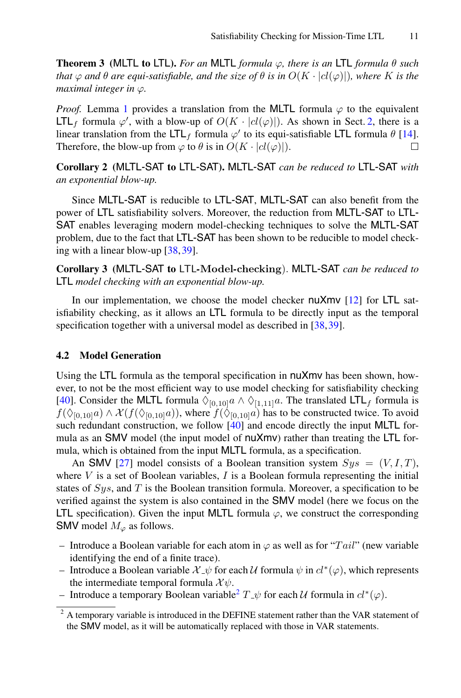**Theorem 3 (**MLTL **to** LTL**).** *For an* MLTL *formula* ϕ*, there is an* LTL *formula* θ *such that*  $\varphi$  *and*  $\theta$  *are equi-satisfiable, and the size of*  $\theta$  *is in*  $O(K \cdot |cl(\varphi)|)$ *, where* K *is the maximal integer in* ϕ*.*

*Proof.* Lemma [1](#page-4-0) provides a translation from the MLTL formula  $\varphi$  to the equivalent **LTL**<sub>f</sub> formula  $\varphi'$ , with a blow-up of  $O(K \cdot |cl(\varphi)|)$ . As shown in Sect. [2,](#page-2-1) there is a linear translation from the LTL<sub>f</sub> formula  $\varphi'$  to its equi-satisfiable LTL formula  $\theta$  [\[14\]](#page-17-1). Therefore, the blow-up from  $\varphi$  to  $\theta$  is in  $O(K \cdot |cl(\varphi)|)$ .  $\Box$ 

**Corollary 2 (**MLTL-SAT **to** LTL-SAT**).** MLTL-SAT *can be reduced to* LTL-SAT *with an exponential blow-up.*

Since MLTL-SAT is reducible to LTL-SAT, MLTL-SAT can also benefit from the power of LTL satisfiability solvers. Moreover, the reduction from MLTL-SAT to LTL-SAT enables leveraging modern model-checking techniques to solve the MLTL-SAT problem, due to the fact that LTL-SAT has been shown to be reducible to model checking with a linear blow-up [\[38](#page-19-2)[,39](#page-19-3)].

**Corollary 3 (**MLTL-SAT **to** LTL*-***Model***-***checking**). MLTL-SAT *can be reduced to* LTL *model checking with an exponential blow-up.*

In our implementation, we choose the model checker nuXmv [\[12](#page-17-11)] for LTL satisfiability checking, as it allows an LTL formula to be directly input as the temporal specification together with a universal model as described in [\[38,](#page-19-2)[39](#page-19-3)].

#### <span id="page-8-1"></span>**4.2 Model Generation**

Using the LTL formula as the temporal specification in nuXmv has been shown, however, to not be the most efficient way to use model checking for satisfiability checking [\[40\]](#page-19-5). Consider the MLTL formula  $\Diamond_{[0,10]}a \land \Diamond_{[1,11]}a$ . The translated LTL<sub>f</sub> formula is  $f(\Diamond_{[0,10]}a) \wedge \mathcal{X}(f(\Diamond_{[0,10]}a))$ , where  $f(\Diamond_{[0,10]}a)$  has to be constructed twice. To avoid such redundant construction, we follow [\[40\]](#page-19-5) and encode directly the input MLTL formula as an SMV model (the input model of nuXmv) rather than treating the LTL formula, which is obtained from the input MLTL formula, as a specification.

An SMV [\[27](#page-18-13)] model consists of a Boolean transition system  $Sys = (V, I, T)$ , where  $V$  is a set of Boolean variables,  $I$  is a Boolean formula representing the initial states of  $Sys$ , and T is the Boolean transition formula. Moreover, a specification to be verified against the system is also contained in the SMV model (here we focus on the LTL specification). Given the input MLTL formula  $\varphi$ , we construct the corresponding SMV model  $M_{\varphi}$  as follows.

- Introduce a Boolean variable for each atom in  $\varphi$  as well as for "Tail" (new variable identifying the end of a finite trace).
- Introduce a Boolean variable  $\mathcal{X} \psi$  for each  $\mathcal{U}$  formula  $\psi$  in  $cl^*(\varphi)$ , which represents the intermediate temporal formula  $\mathcal{X}\psi$ .
- Introduce a temporary Boolean variable<sup>2</sup>  $T_{\psi}$  for each  $\mathcal{U}$  formula in  $cl^*(\varphi)$ .

<span id="page-8-0"></span><sup>&</sup>lt;sup>2</sup> A temporary variable is introduced in the DEFINE statement rather than the VAR statement of the SMV model, as it will be automatically replaced with those in VAR statements.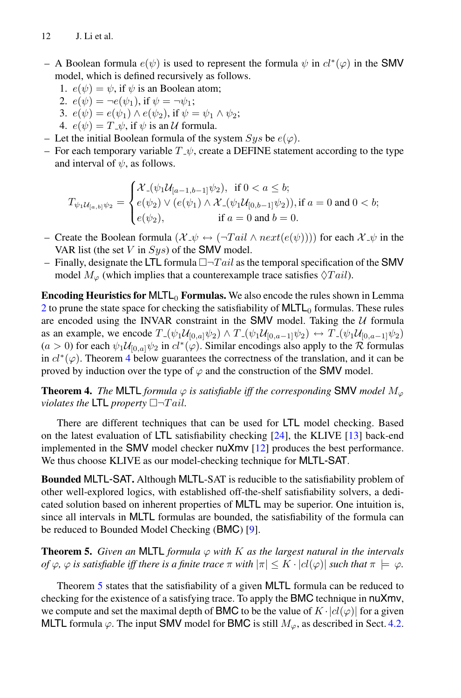- A Boolean formula  $e(\psi)$  is used to represent the formula  $\psi$  in  $cl^*(\varphi)$  in the SMV model, which is defined recursively as follows.
	- 1.  $e(\psi) = \psi$ , if  $\psi$  is an Boolean atom;

2. 
$$
e(\psi) = \neg e(\psi_1)
$$
, if  $\psi = \neg \psi_1$ ;

- 3.  $e(\psi) = e(\psi_1) \wedge e(\psi_2)$ , if  $\psi = \psi_1 \wedge \psi_2$ ;
- 4.  $e(\psi) = T_{-\psi}$ , if  $\psi$  is an U formula.
- Let the initial Boolean formula of the system  $Sys$  be  $e(\varphi)$ .
- For each temporary variable  $T_{\psi}$ , create a DEFINE statement according to the type and interval of  $\psi$ , as follows.

$$
T_{\psi_1 \mathcal{U}_{[a,b]}\psi_2} = \begin{cases} \mathcal{X}_{-}(\psi_1 \mathcal{U}_{[a-1,b-1]}\psi_2), & \text{if } 0 < a \le b; \\ e(\psi_2) \vee (e(\psi_1) \wedge \mathcal{X}_{-}(\psi_1 \mathcal{U}_{[0,b-1]}\psi_2)), & \text{if } a = 0 \text{ and } 0 < b; \\ e(\psi_2), & \text{if } a = 0 \text{ and } b = 0. \end{cases}
$$

- Create the Boolean formula  $(\mathcal{X} \psi \leftrightarrow (\neg Tail \land next(e(\psi))))$  for each  $\mathcal{X} \psi$  in the VAR list (the set  $V$  in  $Sys$ ) of the SMV model.
- Finally, designate the LTL formula  $\Box \neg Tail$  as the temporal specification of the SMV model  $M_{\varphi}$  (which implies that a counterexample trace satisfies  $\Diamond Tail)$ .

**Encoding Heuristics for MLTL<sub>0</sub> Formulas.** We also encode the rules shown in Lemma [2](#page-5-0) to prune the state space for checking the satisfiability of  $MLTL_0$  formulas. These rules are encoded using the INVAR constraint in the SMV model. Taking the  $U$  formula as an example, we encode  $T_{-}(\psi_1\mathcal{U}_{[0,a]}\psi_2) \wedge T_{-}(\psi_1\mathcal{U}_{[0,a-1]}\psi_2) \leftrightarrow T_{-}(\psi_1\mathcal{U}_{[0,a-1]}\psi_2)$  $(a > 0)$  for each  $\psi_1 \mathcal{U}_{[0,a]} \psi_2$  in  $cl^*(\varphi)$ . Similar encodings also apply to the R formulas in  $cl^*(\varphi)$ . Theorem [4](#page-9-0) below guarantees the correctness of the translation, and it can be proved by induction over the type of  $\varphi$  and the construction of the **SMV** model.

<span id="page-9-0"></span>**Theorem 4.** *The* MLTL *formula*  $\varphi$  *is satisfiable iff the corresponding* SMV *model*  $M_{\varphi}$ *violates the*  $LTL$  *property*  $\Box \neg Tail.$ 

There are different techniques that can be used for LTL model checking. Based on the latest evaluation of LTL satisfiability checking [\[24](#page-18-12)], the KLIVE [\[13](#page-17-7)] back-end implemented in the SMV model checker nuXmv [\[12](#page-17-11)] produces the best performance. We thus choose KLIVE as our model-checking technique for MLTL-SAT.

**Bounded** MLTL-SAT**.** Although MLTL-SAT is reducible to the satisfiability problem of other well-explored logics, with established off-the-shelf satisfiability solvers, a dedicated solution based on inherent properties of MLTL may be superior. One intuition is, since all intervals in MLTL formulas are bounded, the satisfiability of the formula can be reduced to Bounded Model Checking (BMC) [\[9\]](#page-17-12).

<span id="page-9-1"></span>**Theorem 5.** *Given an* **MLTL** *formula*  $\varphi$  *with K as the largest natural in the intervals of*  $\varphi$ *,*  $\varphi$  *is satisfiable iff there is a finite trace*  $\pi$  *with*  $|\pi| \leq K \cdot |cl(\varphi)|$  *such that*  $\pi \models \varphi$ *.* 

Theorem [5](#page-9-1) states that the satisfiability of a given MLTL formula can be reduced to checking for the existence of a satisfying trace. To apply the BMC technique in nuXmv, we compute and set the maximal depth of BMC to be the value of  $K \cdot |cl(\varphi)|$  for a given MLTL formula  $\varphi$ . The input SMV model for BMC is still  $M_{\varphi}$ , as described in Sect. [4.2.](#page-8-1)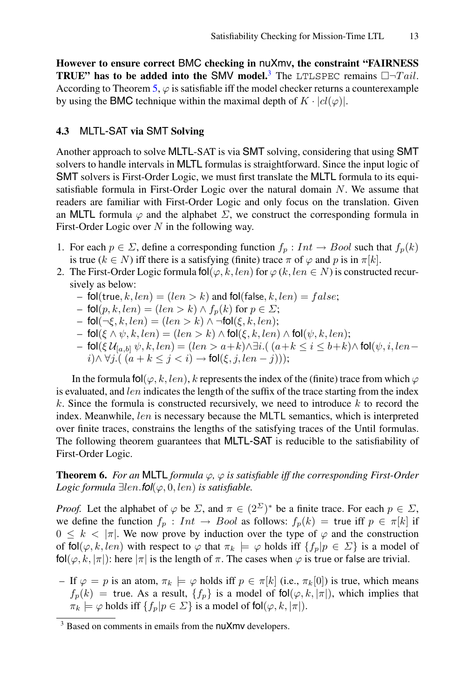**However to ensure correct** BMC **checking in** nuXmv**, the constraint "FAIRNESS TRUE"** has to be added into the SMV model.<sup>[3](#page-10-0)</sup> The LTLSPEC remains  $\Box \neg Tail$ . According to Theorem [5,](#page-9-1)  $\varphi$  is satisfiable iff the model checker returns a counterexample by using the BMC technique within the maximal depth of  $K \cdot |cl(\varphi)|$ .

#### **4.3** MLTL-SAT **via** SMT **Solving**

Another approach to solve MLTL-SAT is via SMT solving, considering that using SMT solvers to handle intervals in MLTL formulas is straightforward. Since the input logic of SMT solvers is First-Order Logic, we must first translate the MLTL formula to its equisatisfiable formula in First-Order Logic over the natural domain  $N$ . We assume that readers are familiar with First-Order Logic and only focus on the translation. Given an MLTL formula  $\varphi$  and the alphabet  $\Sigma$ , we construct the corresponding formula in First-Order Logic over  $N$  in the following way.

- 1. For each  $p \in \Sigma$ , define a corresponding function  $f_p : Int \to Bool$  such that  $f_p(k)$ is true ( $k \in N$ ) iff there is a satisfying (finite) trace  $\pi$  of  $\varphi$  and p is in  $\pi[k]$ .
- 2. The First-Order Logic formula  $\text{fol}(\varphi, k, len)$  for  $\varphi(k, len \in N)$  is constructed recursively as below:
	- $-$  fol(true, k, len) = (len > k) and fol(false, k, len) = f alse;
	- fol(p, k, len) = (len > k) ∧  $f_p(k)$  for  $p \in \Sigma$ ;
	- fol(¬ξ, k, len) = (len > k) ∧ ¬fol(ξ, k, len);
	- $-$  fol $(\xi \wedge \psi, k, len) = (len > k) \wedge$  fol $(\xi, k, len) \wedge$  fol $(\psi, k, len);$
	- fol(ξ  $\mathcal{U}_{[a,b]}$  ψ, k, len) = (len > a+k)∧∃i.( (a+k ≤ i ≤ b+k)∧ fol(ψ, i, len–  $i) \wedge \forall j. ((a + k \leq j < i) \rightarrow \text{fol}(\xi, j, len - j)));$

In the formula fol( $\varphi$ , k, len), k represents the index of the (finite) trace from which  $\varphi$ is evaluated, and  $len$  indicates the length of the suffix of the trace starting from the index k. Since the formula is constructed recursively, we need to introduce  $k$  to record the index. Meanwhile, len is necessary because the MLTL semantics, which is interpreted over finite traces, constrains the lengths of the satisfying traces of the Until formulas. The following theorem guarantees that MLTL-SAT is reducible to the satisfiability of First-Order Logic.

**Theorem 6.** For an MLTL formula  $\varphi$ ,  $\varphi$  is satisfiable iff the corresponding First-Order *Logic formula*  $\exists len.fol(\varphi, 0, len)$  *is satisfiable.* 

*Proof.* Let the alphabet of  $\varphi$  be  $\Sigma$ , and  $\pi \in (2^{\Sigma})^*$  be a finite trace. For each  $p \in \Sigma$ , we define the function  $f_p : Int \to Bool$  as follows:  $f_p(k) =$  true iff  $p \in \pi[k]$  if  $0 \leq k < |\pi|$ . We now prove by induction over the type of  $\varphi$  and the construction of fol( $\varphi$ , k, len) with respect to  $\varphi$  that  $\pi_k \models \varphi$  holds iff  $\{f_p|p \in \Sigma\}$  is a model of  $\text{fol}(\varphi, k, |\pi|)$ : here  $|\pi|$  is the length of  $\pi$ . The cases when  $\varphi$  is true or false are trivial.

– If  $\varphi = p$  is an atom,  $\pi_k \models \varphi$  holds iff  $p \in \pi[k]$  (i.e.,  $\pi_k[0]$ ) is true, which means  $f_p(k)$  = true. As a result,  $\{f_p\}$  is a model of fol $(\varphi, k, |\pi|)$ , which implies that  $\pi_k \models \varphi$  holds iff  $\{f_p|p \in \Sigma\}$  is a model of fol $(\varphi, k, |\pi|)$ .

<span id="page-10-0"></span><sup>&</sup>lt;sup>3</sup> Based on comments in emails from the nuXmv developers.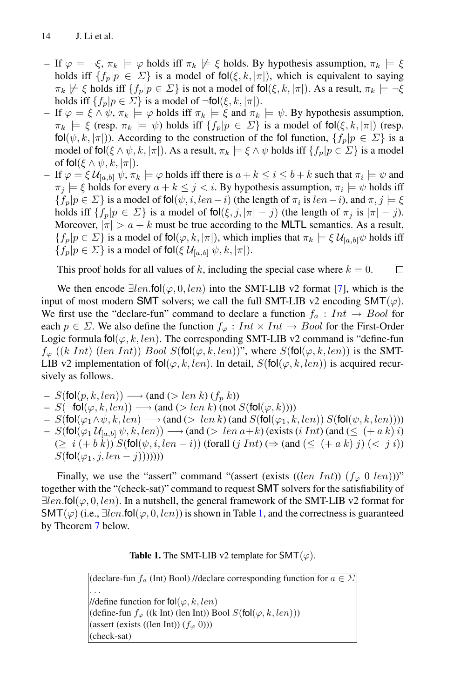- $-I$  If  $\varphi = \neg \xi$ ,  $\pi_k \models \varphi$  holds iff  $\pi_k \not\models \xi$  holds. By hypothesis assumption,  $\pi_k \models \xi$ holds iff  $\{f_p|p \in \Sigma\}$  is a model of fol $(\xi, k, |\pi|)$ , which is equivalent to saying  $\pi_k \not\models \xi$  holds iff  $\{f_p|p \in \Sigma\}$  is not a model of  $\text{fol}(\xi, k, |\pi|)$ . As a result,  $\pi_k \models \neg \xi$ holds iff  $\{f_p|p \in \Sigma\}$  is a model of  $\neg$ fol $(\xi, k, |\pi|)$ .
- If  $\varphi = \xi \wedge \psi$ ,  $\pi_k \models \varphi$  holds iff  $\pi_k \models \xi$  and  $\pi_k \models \psi$ . By hypothesis assumption,  $\pi_k \models \xi$  (resp.  $\pi_k \models \psi$ ) holds iff  $\{f_p|p \in \Sigma\}$  is a model of fol $(\xi, k, |\pi|)$  (resp.  $\text{fol}(\psi, k, |\pi|)$ ). According to the construction of the fol function,  $\{f_p|p \in \Sigma\}$  is a model of fol( $\xi \wedge \psi, k, |\pi|$ ). As a result,  $\pi_k \models \xi \wedge \psi$  holds iff  $\{f_p | p \in \Sigma\}$  is a model of fol $(\xi \wedge \psi, k, |\pi|)$ .
- If  $\varphi = \xi \mathcal{U}_{[a,b]} \psi$ ,  $\pi_k \models \varphi$  holds iff there is  $a + k \leq i \leq b + k$  such that  $\pi_i \models \psi$  and  $\pi_j \models \xi$  holds for every  $a + k \leq j < i$ . By hypothesis assumption,  $\pi_i \models \psi$  holds iff  ${f_p|p \in \Sigma}$  is a model of fol $(\psi, i, len-i)$  (the length of  $\pi_i$  is  $len-i$ ), and  $\pi, j \models \xi$ holds iff  $\{f_p|p \in \Sigma\}$  is a model of fol $(\xi, j, |\pi| - j)$  (the length of  $\pi_j$  is  $|\pi| - j$ ). Moreover,  $|\pi| > a + k$  must be true according to the MLTL semantics. As a result,  ${f_p|p \in \Sigma}$  is a model of fol $(\varphi, k, |\pi|)$ , which implies that  $\pi_k \models \xi \mathcal{U}_{[a,b]} \psi$  holds iff  ${f_p|p \in \Sigma}$  is a model of fol $(\xi \mathcal{U}_{[a,b]} \psi, k, |\pi|)$ .

This proof holds for all values of k, including the special case where  $k = 0$ . □

We then encode  $\exists len.$ fol $(\varphi, 0, len)$  into the SMT-LIB v2 format [\[7\]](#page-17-13), which is the input of most modern SMT solvers; we call the full SMT-LIB v2 encoding SMT $(\varphi)$ . We first use the "declare-fun" command to declare a function  $f_a: Int \rightarrow Bool$  for each  $p \in \Sigma$ . We also define the function  $f_{\varphi}: Int \times Int \to Bool$  for the First-Order Logic formula fol $(\varphi, k, len)$ . The corresponding SMT-LIB v2 command is "define-fun  $f_{\varphi}$  ((k Int) (len Int)) Bool  $S(\text{fol}(\varphi, k, len))$ ", where  $S(\text{fol}(\varphi, k, len))$  is the SMT-LIB v2 implementation of  $\text{fol}(\varphi, k, len)$ . In detail,  $S(\text{fol}(\varphi, k, len))$  is acquired recursively as follows.

- $S($ fol $(p, k, len)) \longrightarrow$  (and ( $> len k$ ) ( $f_p k$ ))
- $-S(\neg \text{fol}(\varphi, k, len)) \longrightarrow (and \ (\geq len \ k) \ (not \ S(\text{fol}(\varphi, k))))$
- $-S($ fol $(\varphi_1 \wedge \psi, k, len) \longrightarrow$  (and  $(> len k)$  (and  $S($ fol $(\varphi_1, k, len)) S($ fol $(\psi, k, len)))$ )
- $-S($ fol $(\varphi_1 \mathcal{U}_{[a,b]}\psi, k, len)) \longrightarrow$  (and (> len a+k) (exists (i Int) (and ( $\leq$  (+ a k) i)  $(\geq i + b k)$  S(fol $(\psi, i, len - i)$ ) (forall  $(j Int)$   $(\Rightarrow$  (and  $(\leq + a k) j$ )  $(< j i)$ )  $S(fol(\varphi_1, j, len - j))))))$

<span id="page-11-1"></span>Finally, we use the "assert" command "(assert (exists ((len Int))  $(f_{\varphi} \ 0 \ len))$ " together with the "(check-sat)" command to request SMT solvers for the satisfiability of  $\exists len.$ fol $(\varphi, 0, len)$ . In a nutshell, the general framework of the SMT-LIB v2 format for SMT( $\varphi$ ) (i.e.,  $\exists len.$ fol $(\varphi, 0, len)$ ) is shown in Table [1,](#page-11-0) and the correctness is guaranteed by Theorem [7](#page-11-1) below.

<span id="page-11-0"></span>**Table 1.** The SMT-LIB v2 template for  $SMT(\varphi)$ .

(declare-fun  $f_a$  (Int) Bool) //declare corresponding function for  $a \in \Sigma$ ... //define function for  $\text{fol}(\varphi, k, len)$ (define-fun  $f_{\varphi}$  ((k Int) (len Int)) Bool  $S(fol(\varphi, k, len)))$ (assert (exists ((len Int))  $(f_{\varphi} 0)$ )) (check-sat)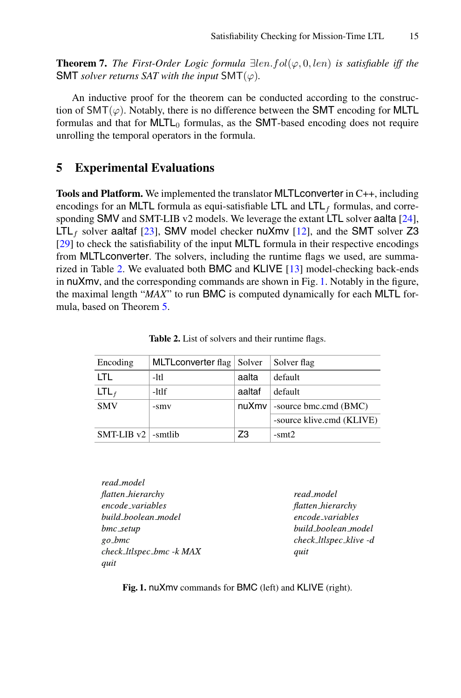**Theorem 7.** *The First-Order Logic formula*  $\exists len.fol(\varphi, 0, len)$  *is satisfiable iff the* **SMT** *solver returns SAT* with the input  $SMT(\varphi)$ *.* 

An inductive proof for the theorem can be conducted according to the construction of  $SMT(\varphi)$ . Notably, there is no difference between the **SMT** encoding for **MLTL** formulas and that for  $MLTL_0$  formulas, as the SMT-based encoding does not require unrolling the temporal operators in the formula.

### **5 Experimental Evaluations**

**Tools and Platform.** We implemented the translator MLTLconverter in C++, including encodings for an MLTL formula as equi-satisfiable LTL and  $LTL_f$  formulas, and corresponding SMV and SMT-LIB v2 models. We leverage the extant LTL solver aalta [\[24\]](#page-18-12), LTL<sub>f</sub> solver aaltaf [\[23](#page-18-10)], SMV model checker nuXmv [\[12](#page-17-11)], and the SMT solver Z3 [\[29\]](#page-18-14) to check the satisfiability of the input MLTL formula in their respective encodings from MLTLconverter. The solvers, including the runtime flags we used, are summarized in Table [2.](#page-12-0) We evaluated both BMC and KLIVE [\[13\]](#page-17-7) model-checking back-ends in nuXmv, and the corresponding commands are shown in Fig. [1.](#page-12-1) Notably in the figure, the maximal length "*MAX*" to run BMC is computed dynamically for each MLTL formula, based on Theorem [5.](#page-9-1)

| Encoding                 | MLTLconverter flag   Solver |        | Solver flag                   |
|--------------------------|-----------------------------|--------|-------------------------------|
| LTL                      | -ltl                        | aalta  | default                       |
| $LTL_f$                  | $-l$ t $l$ f                | aaltaf | default                       |
| <b>SMV</b>               | -smy                        |        | $nuXmv$ -source bmc.cmd (BMC) |
|                          |                             |        | -source klive.cmd (KLIVE)     |
| $SMT-LIB$ $v2$   -smtlib |                             | Z3     | $-$ smt $2$                   |

<span id="page-12-0"></span>**Table 2.** List of solvers and their runtime flags.

read\_model flatten\_hierarchy encode\_variables build\_boolean\_model bmc\_setup go\_bmc check\_ltlspec\_bmc -k MAX quit

read\_model flatten\_hierarchy encode\_variables build\_boolean\_model check\_ltlspec\_klive -d quit

<span id="page-12-1"></span>**Fig. 1.** nuXmv commands for BMC (left) and KLIVE (right).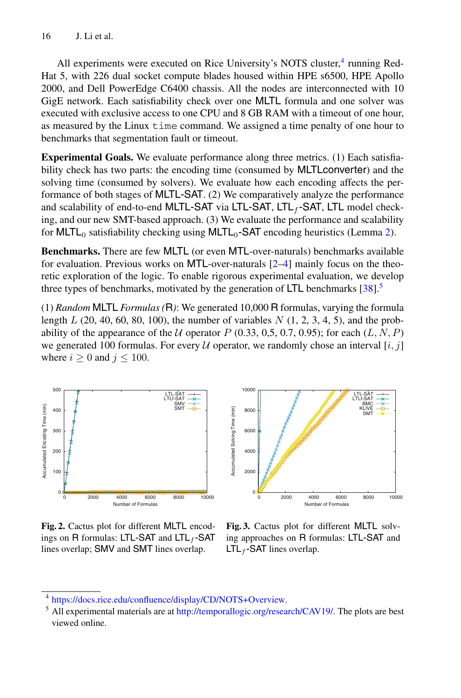All experiments were executed on Rice University's NOTS cluster,<sup>[4](#page-13-0)</sup> running Red-Hat 5, with 226 dual socket compute blades housed within HPE s6500, HPE Apollo 2000, and Dell PowerEdge C6400 chassis. All the nodes are interconnected with 10 GigE network. Each satisfiability check over one MLTL formula and one solver was executed with exclusive access to one CPU and 8 GB RAM with a timeout of one hour, as measured by the Linux time command. We assigned a time penalty of one hour to benchmarks that segmentation fault or timeout.

**Experimental Goals.** We evaluate performance along three metrics. (1) Each satisfiability check has two parts: the encoding time (consumed by MLTLconverter) and the solving time (consumed by solvers). We evaluate how each encoding affects the performance of both stages of MLTL-SAT. (2) We comparatively analyze the performance and scalability of end-to-end MLTL-SAT via LTL-SAT, LTL $_f$ -SAT, LTL model checking, and our new SMT-based approach. (3) We evaluate the performance and scalability for MLTL<sub>0</sub> satisfiability checking using MLTL<sub>0</sub>-SAT encoding heuristics (Lemma [2\)](#page-5-0).

**Benchmarks.** There are few MLTL (or even MTL-over-naturals) benchmarks available for evaluation. Previous works on MTL-over-naturals [\[2](#page-17-10)[–4\]](#page-17-8) mainly focus on the theoretic exploration of the logic. To enable rigorous experimental evaluation, we develop three types of benchmarks, motivated by the generation of LTL benchmarks  $[38]$  $[38]$ <sup>[5](#page-13-1)</sup>

(1) *Random* MLTL *Formulas (*R*)*: We generated 10,000 R formulas, varying the formula length  $L$  (20, 40, 60, 80, 100), the number of variables  $N$  (1, 2, 3, 4, 5), and the probability of the appearance of the U operator  $P$  (0.33, 0,5, 0.7, 0.95); for each  $(L, N, P)$ we generated 100 formulas. For every U operator, we randomly chose an interval [i, j] where  $i \ge 0$  and  $j \le 100$ .



<span id="page-13-2"></span>



<span id="page-13-3"></span>**Fig. 3.** Cactus plot for different MLTL solving approaches on R formulas: LTL-SAT and LTL*<sup>f</sup>* -SAT lines overlap.

<span id="page-13-0"></span><sup>4</sup> [https://docs.rice.edu/confluence/display/CD/NOTS+Overview.](https://docs.rice.edu/confluence/display/CD/NOTS+Overview)

<span id="page-13-1"></span><sup>&</sup>lt;sup>5</sup> All experimental materials are at [http://temporallogic.org/research/CAV19/.](http://temporallogic.org/research/CAV19/) The plots are best viewed online.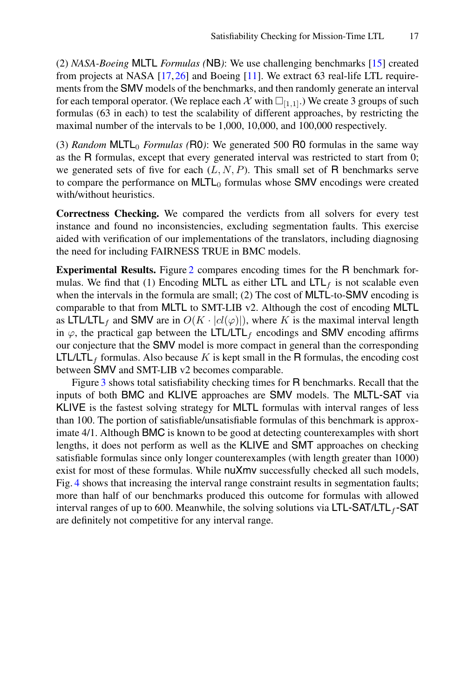(2) *NASA-Boeing* MLTL *Formulas (*NB*)*: We use challenging benchmarks [\[15\]](#page-17-14) created from projects at NASA [\[17,](#page-17-15)[26\]](#page-18-15) and Boeing [\[11\]](#page-17-16). We extract 63 real-life LTL requirements from the SMV models of the benchmarks, and then randomly generate an interval for each temporal operator. (We replace each  $\mathcal{X}$  with  $\square_{[1,1]}$ .) We create 3 groups of such formulas (63 in each) to test the scalability of different approaches, by restricting the maximal number of the intervals to be 1,000, 10,000, and 100,000 respectively.

(3) *Random*  $MLTL_0$  *Formulas* (RO): We generated 500 RO formulas in the same way as the R formulas, except that every generated interval was restricted to start from 0; we generated sets of five for each  $(L, N, P)$ . This small set of R benchmarks serve to compare the performance on  $MLTL_0$  formulas whose  $SMV$  encodings were created with/without heuristics.

**Correctness Checking.** We compared the verdicts from all solvers for every test instance and found no inconsistencies, excluding segmentation faults. This exercise aided with verification of our implementations of the translators, including diagnosing the need for including FAIRNESS TRUE in BMC models.

**Experimental Results.** Figure [2](#page-13-2) compares encoding times for the R benchmark formulas. We find that (1) Encoding MLTL as either LTL and LTL<sub>f</sub> is not scalable even when the intervals in the formula are small; (2) The cost of MLTL-to-SMV encoding is comparable to that from MLTL to SMT-LIB v2. Although the cost of encoding MLTL as LTL/LTL<sub>f</sub> and SMV are in  $O(K \cdot |cl(\varphi)|)$ , where K is the maximal interval length in  $\varphi$ , the practical gap between the LTL/LTL<sub>f</sub> encodings and SMV encoding affirms our conjecture that the SMV model is more compact in general than the corresponding LTL/LTL<sub>f</sub> formulas. Also because K is kept small in the R formulas, the encoding cost between SMV and SMT-LIB v2 becomes comparable.

Figure [3](#page-13-3) shows total satisfiability checking times for R benchmarks. Recall that the inputs of both BMC and KLIVE approaches are SMV models. The MLTL-SAT via KLIVE is the fastest solving strategy for MLTL formulas with interval ranges of less than 100. The portion of satisfiable/unsatisfiable formulas of this benchmark is approximate 4/1. Although BMC is known to be good at detecting counterexamples with short lengths, it does not perform as well as the KLIVE and SMT approaches on checking satisfiable formulas since only longer counterexamples (with length greater than 1000) exist for most of these formulas. While nuXmv successfully checked all such models, Fig. [4](#page-15-0) shows that increasing the interval range constraint results in segmentation faults; more than half of our benchmarks produced this outcome for formulas with allowed interval ranges of up to 600. Meanwhile, the solving solutions via LTL-SAT/LTL<sub>f</sub>-SAT are definitely not competitive for any interval range.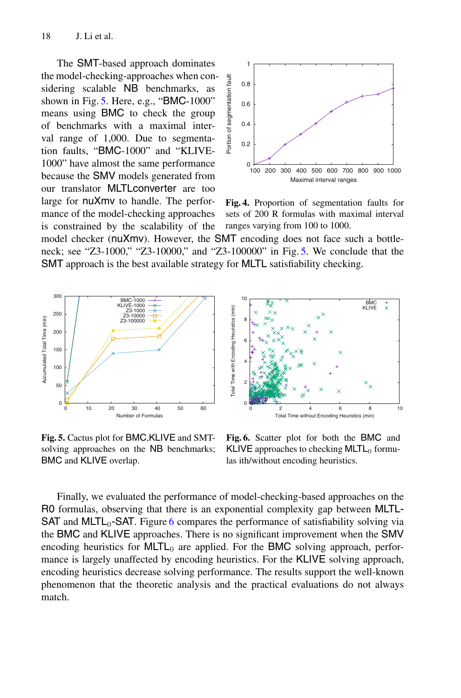The SMT-based approach dominates the model-checking-approaches when considering scalable NB benchmarks, as shown in Fig. [5.](#page-15-1) Here, e.g., "BMC-1000" means using BMC to check the group of benchmarks with a maximal interval range of 1,000. Due to segmentation faults, "BMC-1000" and "KLIVE-1000" have almost the same performance because the SMV models generated from our translator MLTLconverter are too large for nuXmv to handle. The performance of the model-checking approaches is constrained by the scalability of the



<span id="page-15-0"></span>**Fig. 4.** Proportion of segmentation faults for sets of 200 R formulas with maximal interval ranges varying from 100 to 1000.

model checker (nuXmv). However, the SMT encoding does not face such a bottleneck; see "Z3-1000," "Z3-10000," and "Z3-100000" in Fig. [5.](#page-15-1) We conclude that the SMT approach is the best available strategy for MLTL satisfiability checking.



<span id="page-15-1"></span>**Fig. 5.** Cactus plot for BMC,KLIVE and SMTsolving approaches on the NB benchmarks; BMC and KLIVE overlap.

<span id="page-15-2"></span>**Fig. 6.** Scatter plot for both the BMC and KLIVE approaches to checking  $MLTL<sub>0</sub>$  formulas ith/without encoding heuristics.

Finally, we evaluated the performance of model-checking-based approaches on the R0 formulas, observing that there is an exponential complexity gap between MLTL-**SAT** and **MLTL**<sub>0</sub>-**SAT**. Figure [6](#page-15-2) compares the performance of satisfiability solving via the BMC and KLIVE approaches. There is no significant improvement when the SMV encoding heuristics for  $MLTL_0$  are applied. For the BMC solving approach, performance is largely unaffected by encoding heuristics. For the KLIVE solving approach, encoding heuristics decrease solving performance. The results support the well-known phenomenon that the theoretic analysis and the practical evaluations do not always match.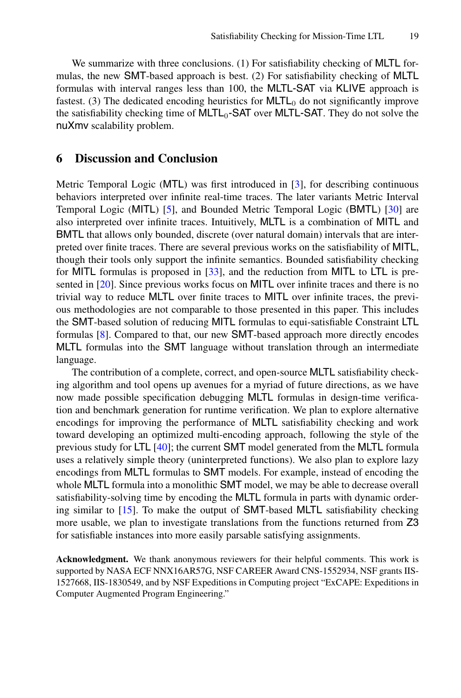We summarize with three conclusions. (1) For satisfiability checking of **MLTL** formulas, the new SMT-based approach is best. (2) For satisfiability checking of MLTL formulas with interval ranges less than 100, the MLTL-SAT via KLIVE approach is fastest. (3) The dedicated encoding heuristics for  $MLTL_0$  do not significantly improve the satisfiability checking time of  $MLTL_0$ -SAT over MLTL-SAT. They do not solve the nuXmv scalability problem.

### **6 Discussion and Conclusion**

Metric Temporal Logic (MTL) was first introduced in [\[3](#page-17-0)], for describing continuous behaviors interpreted over infinite real-time traces. The later variants Metric Interval Temporal Logic (MITL) [\[5\]](#page-17-17), and Bounded Metric Temporal Logic (BMTL) [\[30](#page-18-16)] are also interpreted over infinite traces. Intuitively, MLTL is a combination of MITL and BMTL that allows only bounded, discrete (over natural domain) intervals that are interpreted over finite traces. There are several previous works on the satisfiability of MITL, though their tools only support the infinite semantics. Bounded satisfiability checking for MITL formulas is proposed in [\[33\]](#page-18-17), and the reduction from MITL to LTL is presented in [\[20](#page-18-18)]. Since previous works focus on MITL over infinite traces and there is no trivial way to reduce MLTL over finite traces to MITL over infinite traces, the previous methodologies are not comparable to those presented in this paper. This includes the SMT-based solution of reducing MITL formulas to equi-satisfiable Constraint LTL formulas [\[8](#page-17-6)]. Compared to that, our new SMT-based approach more directly encodes MLTL formulas into the SMT language without translation through an intermediate language.

The contribution of a complete, correct, and open-source MLTL satisfiability checking algorithm and tool opens up avenues for a myriad of future directions, as we have now made possible specification debugging MLTL formulas in design-time verification and benchmark generation for runtime verification. We plan to explore alternative encodings for improving the performance of MLTL satisfiability checking and work toward developing an optimized multi-encoding approach, following the style of the previous study for LTL [\[40\]](#page-19-5); the current SMT model generated from the MLTL formula uses a relatively simple theory (uninterpreted functions). We also plan to explore lazy encodings from MLTL formulas to SMT models. For example, instead of encoding the whole MLTL formula into a monolithic SMT model, we may be able to decrease overall satisfiability-solving time by encoding the MLTL formula in parts with dynamic ordering similar to [\[15](#page-17-14)]. To make the output of SMT-based MLTL satisfiability checking more usable, we plan to investigate translations from the functions returned from Z3 for satisfiable instances into more easily parsable satisfying assignments.

**Acknowledgment.** We thank anonymous reviewers for their helpful comments. This work is supported by NASA ECF NNX16AR57G, NSF CAREER Award CNS-1552934, NSF grants IIS-1527668, IIS-1830549, and by NSF Expeditions in Computing project "ExCAPE: Expeditions in Computer Augmented Program Engineering."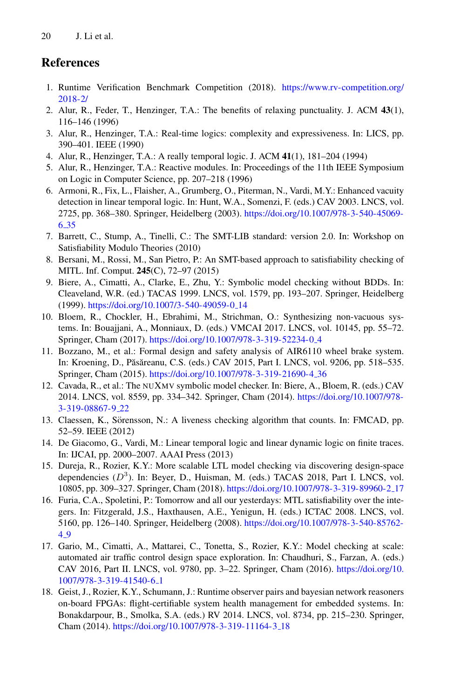# **References**

- <span id="page-17-3"></span>1. Runtime Verification Benchmark Competition (2018). [https://www.rv-competition.org/](https://www.rv-competition.org/2018-2/) [2018-2/](https://www.rv-competition.org/2018-2/)
- <span id="page-17-10"></span>2. Alur, R., Feder, T., Henzinger, T.A.: The benefits of relaxing punctuality. J. ACM **43**(1), 116–146 (1996)
- <span id="page-17-0"></span>3. Alur, R., Henzinger, T.A.: Real-time logics: complexity and expressiveness. In: LICS, pp. 390–401. IEEE (1990)
- <span id="page-17-8"></span>4. Alur, R., Henzinger, T.A.: A really temporal logic. J. ACM **41**(1), 181–204 (1994)
- <span id="page-17-17"></span>5. Alur, R., Henzinger, T.A.: Reactive modules. In: Proceedings of the 11th IEEE Symposium on Logic in Computer Science, pp. 207–218 (1996)
- <span id="page-17-4"></span>6. Armoni, R., Fix, L., Flaisher, A., Grumberg, O., Piterman, N., Vardi, M.Y.: Enhanced vacuity detection in linear temporal logic. In: Hunt, W.A., Somenzi, F. (eds.) CAV 2003. LNCS, vol. 2725, pp. 368–380. Springer, Heidelberg (2003). [https://doi.org/10.1007/978-3-540-45069-](https://doi.org/10.1007/978-3-540-45069-6_35) 6 [35](https://doi.org/10.1007/978-3-540-45069-6_35)
- <span id="page-17-13"></span>7. Barrett, C., Stump, A., Tinelli, C.: The SMT-LIB standard: version 2.0. In: Workshop on Satisfiability Modulo Theories (2010)
- <span id="page-17-6"></span>8. Bersani, M., Rossi, M., San Pietro, P.: An SMT-based approach to satisfiability checking of MITL. Inf. Comput. **245**(C), 72–97 (2015)
- <span id="page-17-12"></span>9. Biere, A., Cimatti, A., Clarke, E., Zhu, Y.: Symbolic model checking without BDDs. In: Cleaveland, W.R. (ed.) TACAS 1999. LNCS, vol. 1579, pp. 193–207. Springer, Heidelberg (1999). [https://doi.org/10.1007/3-540-49059-0](https://doi.org/10.1007/3-540-49059-0_14) 14
- <span id="page-17-5"></span>10. Bloem, R., Chockler, H., Ebrahimi, M., Strichman, O.: Synthesizing non-vacuous systems. In: Bouajjani, A., Monniaux, D. (eds.) VMCAI 2017. LNCS, vol. 10145, pp. 55–72. Springer, Cham (2017). [https://doi.org/10.1007/978-3-319-52234-0](https://doi.org/10.1007/978-3-319-52234-0_4) 4
- <span id="page-17-16"></span>11. Bozzano, M., et al.: Formal design and safety analysis of AIR6110 wheel brake system. In: Kroening, D., Păsăreanu, C.S. (eds.) CAV 2015, Part I. LNCS, vol. 9206, pp. 518–535. Springer, Cham (2015). [https://doi.org/10.1007/978-3-319-21690-4](https://doi.org/10.1007/978-3-319-21690-4_36) 36
- <span id="page-17-11"></span>12. Cavada, R., et al.: The NUXMV symbolic model checker. In: Biere, A., Bloem, R. (eds.) CAV 2014. LNCS, vol. 8559, pp. 334–342. Springer, Cham (2014). [https://doi.org/10.1007/978-](https://doi.org/10.1007/978-3-319-08867-9_22) [3-319-08867-9](https://doi.org/10.1007/978-3-319-08867-9_22) 22
- <span id="page-17-7"></span>13. Claessen, K., Sörensson, N.: A liveness checking algorithm that counts. In: FMCAD, pp. 52–59. IEEE (2012)
- <span id="page-17-1"></span>14. De Giacomo, G., Vardi, M.: Linear temporal logic and linear dynamic logic on finite traces. In: IJCAI, pp. 2000–2007. AAAI Press (2013)
- <span id="page-17-14"></span>15. Dureja, R., Rozier, K.Y.: More scalable LTL model checking via discovering design-space dependencies  $(D^3)$ . In: Beyer, D., Huisman, M. (eds.) TACAS 2018, Part I. LNCS, vol. 10805, pp. 309–327. Springer, Cham (2018). [https://doi.org/10.1007/978-3-319-89960-2](https://doi.org/10.1007/978-3-319-89960-2_17) 17
- <span id="page-17-9"></span>16. Furia, C.A., Spoletini, P.: Tomorrow and all our yesterdays: MTL satisfiability over the integers. In: Fitzgerald, J.S., Haxthausen, A.E., Yenigun, H. (eds.) ICTAC 2008. LNCS, vol. 5160, pp. 126–140. Springer, Heidelberg (2008). [https://doi.org/10.1007/978-3-540-85762-](https://doi.org/10.1007/978-3-540-85762-4_9) 4.[9](https://doi.org/10.1007/978-3-540-85762-4_9)
- <span id="page-17-15"></span>17. Gario, M., Cimatti, A., Mattarei, C., Tonetta, S., Rozier, K.Y.: Model checking at scale: automated air traffic control design space exploration. In: Chaudhuri, S., Farzan, A. (eds.) CAV 2016, Part II. LNCS, vol. 9780, pp. 3–22. Springer, Cham (2016). [https://doi.org/10.](https://doi.org/10.1007/978-3-319-41540-6_1) [1007/978-3-319-41540-6](https://doi.org/10.1007/978-3-319-41540-6_1) 1
- <span id="page-17-2"></span>18. Geist, J., Rozier, K.Y., Schumann, J.: Runtime observer pairs and bayesian network reasoners on-board FPGAs: flight-certifiable system health management for embedded systems. In: Bonakdarpour, B., Smolka, S.A. (eds.) RV 2014. LNCS, vol. 8734, pp. 215–230. Springer, Cham (2014). [https://doi.org/10.1007/978-3-319-11164-3](https://doi.org/10.1007/978-3-319-11164-3_18) 18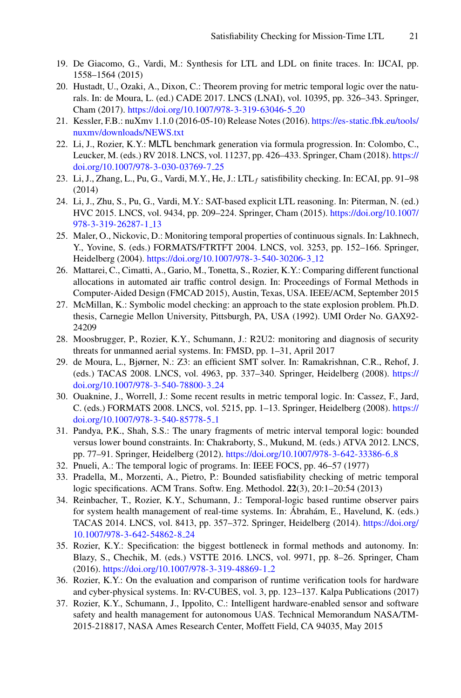- <span id="page-18-9"></span>19. De Giacomo, G., Vardi, M.: Synthesis for LTL and LDL on finite traces. In: IJCAI, pp. 1558–1564 (2015)
- <span id="page-18-18"></span>20. Hustadt, U., Ozaki, A., Dixon, C.: Theorem proving for metric temporal logic over the naturals. In: de Moura, L. (ed.) CADE 2017. LNCS (LNAI), vol. 10395, pp. 326–343. Springer, Cham (2017). [https://doi.org/10.1007/978-3-319-63046-5](https://doi.org/10.1007/978-3-319-63046-5_20) 20
- <span id="page-18-5"></span>21. Kessler, F.B.: nuXmv 1.1.0 (2016-05-10) Release Notes (2016). [https://es-static.fbk.eu/tools/](https://es-static.fbk.eu/tools/nuxmv/downloads/NEWS.txt) [nuxmv/downloads/NEWS.txt](https://es-static.fbk.eu/tools/nuxmv/downloads/NEWS.txt)
- <span id="page-18-8"></span>22. Li, J., Rozier, K.Y.: MLTL benchmark generation via formula progression. In: Colombo, C., Leucker, M. (eds.) RV 2018. LNCS, vol. 11237, pp. 426–433. Springer, Cham (2018). [https://](https://doi.org/10.1007/978-3-030-03769-7_25) [doi.org/10.1007/978-3-030-03769-7](https://doi.org/10.1007/978-3-030-03769-7_25) 25
- <span id="page-18-10"></span>23. Li, J., Zhang, L., Pu, G., Vardi, M.Y., He, J.: LTL*<sup>f</sup>* satisfibility checking. In: ECAI, pp. 91–98 (2014)
- <span id="page-18-12"></span>24. Li, J., Zhu, S., Pu, G., Vardi, M.Y.: SAT-based explicit LTL reasoning. In: Piterman, N. (ed.) HVC 2015. LNCS, vol. 9434, pp. 209–224. Springer, Cham (2015). [https://doi.org/10.1007/](https://doi.org/10.1007/978-3-319-26287-1_13) [978-3-319-26287-1](https://doi.org/10.1007/978-3-319-26287-1_13) 13
- <span id="page-18-1"></span>25. Maler, O., Nickovic, D.: Monitoring temporal properties of continuous signals. In: Lakhnech, Y., Yovine, S. (eds.) FORMATS/FTRTFT 2004. LNCS, vol. 3253, pp. 152–166. Springer, Heidelberg (2004). [https://doi.org/10.1007/978-3-540-30206-3](https://doi.org/10.1007/978-3-540-30206-3_12) 12
- <span id="page-18-15"></span>26. Mattarei, C., Cimatti, A., Gario, M., Tonetta, S., Rozier, K.Y.: Comparing different functional allocations in automated air traffic control design. In: Proceedings of Formal Methods in Computer-Aided Design (FMCAD 2015), Austin, Texas, USA. IEEE/ACM, September 2015
- <span id="page-18-13"></span>27. McMillan, K.: Symbolic model checking: an approach to the state explosion problem. Ph.D. thesis, Carnegie Mellon University, Pittsburgh, PA, USA (1992). UMI Order No. GAX92- 24209
- <span id="page-18-3"></span>28. Moosbrugger, P., Rozier, K.Y., Schumann, J.: R2U2: monitoring and diagnosis of security threats for unmanned aerial systems. In: FMSD, pp. 1–31, April 2017
- <span id="page-18-14"></span>29. de Moura, L., Bjørner, N.: Z3: an efficient SMT solver. In: Ramakrishnan, C.R., Rehof, J. (eds.) TACAS 2008. LNCS, vol. 4963, pp. 337–340. Springer, Heidelberg (2008). [https://](https://doi.org/10.1007/978-3-540-78800-3_24) [doi.org/10.1007/978-3-540-78800-3](https://doi.org/10.1007/978-3-540-78800-3_24) 24
- <span id="page-18-16"></span>30. Ouaknine, J., Worrell, J.: Some recent results in metric temporal logic. In: Cassez, F., Jard, C. (eds.) FORMATS 2008. LNCS, vol. 5215, pp. 1–13. Springer, Heidelberg (2008). [https://](https://doi.org/10.1007/978-3-540-85778-5_1) [doi.org/10.1007/978-3-540-85778-5](https://doi.org/10.1007/978-3-540-85778-5_1) 1
- <span id="page-18-11"></span>31. Pandya, P.K., Shah, S.S.: The unary fragments of metric interval temporal logic: bounded versus lower bound constraints. In: Chakraborty, S., Mukund, M. (eds.) ATVA 2012. LNCS, pp. 77–91. Springer, Heidelberg (2012). [https://doi.org/10.1007/978-3-642-33386-6](https://doi.org/10.1007/978-3-642-33386-6_8) 8
- <span id="page-18-2"></span>32. Pnueli, A.: The temporal logic of programs. In: IEEE FOCS, pp. 46–57 (1977)
- <span id="page-18-17"></span>33. Pradella, M., Morzenti, A., Pietro, P.: Bounded satisfiability checking of metric temporal logic specifications. ACM Trans. Softw. Eng. Methodol. **22**(3), 20:1–20:54 (2013)
- <span id="page-18-0"></span>34. Reinbacher, T., Rozier, K.Y., Schumann, J.: Temporal-logic based runtime observer pairs for system health management of real-time systems. In: Ábrahám, E., Havelund, K. (eds.) TACAS 2014. LNCS, vol. 8413, pp. 357–372. Springer, Heidelberg (2014). [https://doi.org/](https://doi.org/10.1007/978-3-642-54862-8_24) [10.1007/978-3-642-54862-8](https://doi.org/10.1007/978-3-642-54862-8_24) 24
- <span id="page-18-6"></span>35. Rozier, K.Y.: Specification: the biggest bottleneck in formal methods and autonomy. In: Blazy, S., Chechik, M. (eds.) VSTTE 2016. LNCS, vol. 9971, pp. 8–26. Springer, Cham (2016). [https://doi.org/10.1007/978-3-319-48869-1](https://doi.org/10.1007/978-3-319-48869-1_2) 2
- <span id="page-18-7"></span>36. Rozier, K.Y.: On the evaluation and comparison of runtime verification tools for hardware and cyber-physical systems. In: RV-CUBES, vol. 3, pp. 123–137. Kalpa Publications (2017)
- <span id="page-18-4"></span>37. Rozier, K.Y., Schumann, J., Ippolito, C.: Intelligent hardware-enabled sensor and software safety and health management for autonomous UAS. Technical Memorandum NASA/TM-2015-218817, NASA Ames Research Center, Moffett Field, CA 94035, May 2015